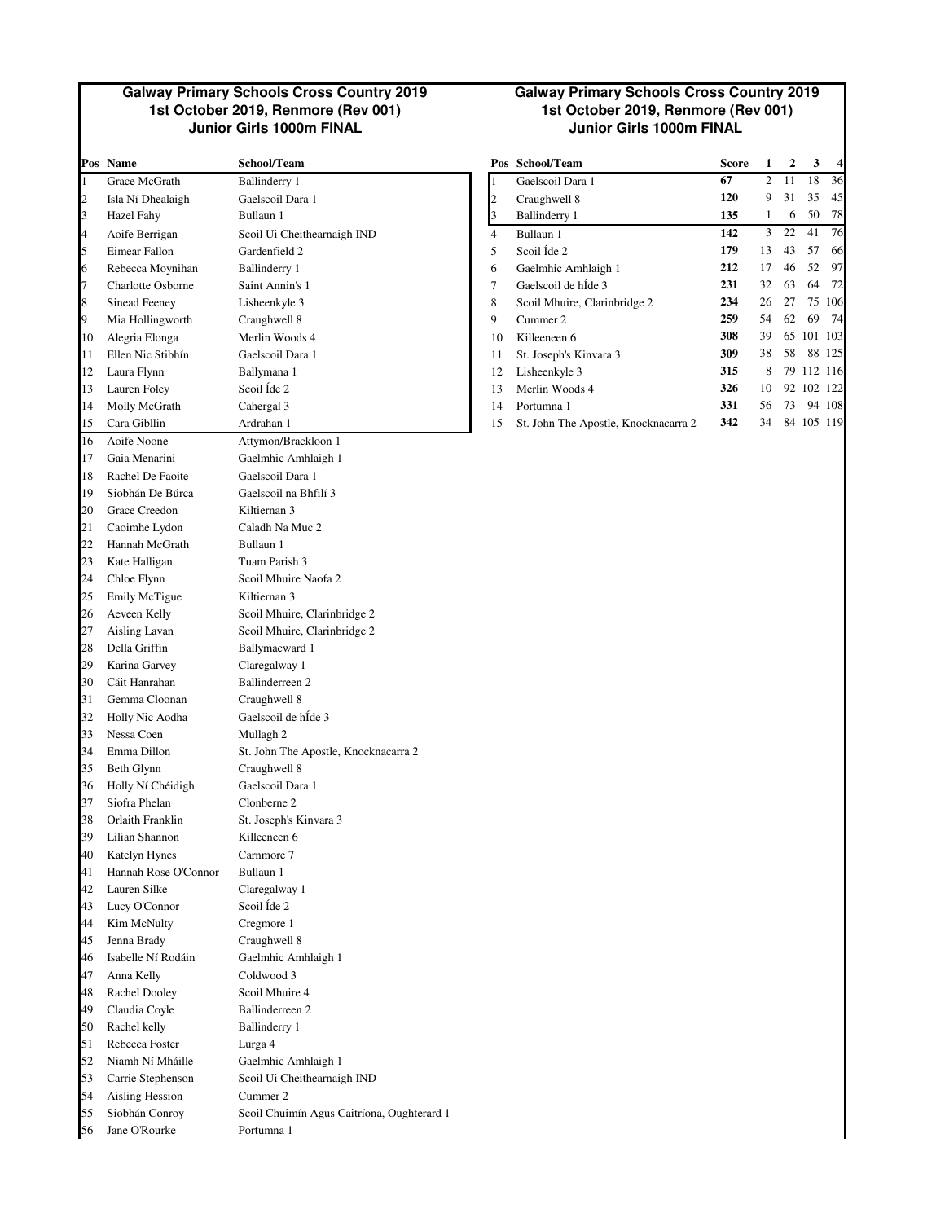#### **Galway Primary Schools Cross Country 2019 1st October 2019, Renmore (Rev 001) Junior Girls 1000m FINAL Junior Girls 1000m FINAL**

|                          | Pos Name             | School/Team                                |                | Pos School/Team                      | Score | 1              | 2  | 3          | 4      |
|--------------------------|----------------------|--------------------------------------------|----------------|--------------------------------------|-------|----------------|----|------------|--------|
| $\mathbf{1}$             | Grace McGrath        | <b>Ballinderry 1</b>                       | 1              | Gaelscoil Dara 1                     | 67    | $\overline{c}$ | 11 | 18         | 36     |
| $\overline{2}$           | Isla Ní Dhealaigh    | Gaelscoil Dara 1                           | $\overline{c}$ | Craughwell 8                         | 120   | 9              | 31 | 35         | 45     |
| 3                        | Hazel Fahy           | Bullaun 1                                  | 3              | Ballinderry 1                        | 135   | $\mathbf{1}$   | 6  | 50         | 78     |
| $\overline{\mathcal{L}}$ | Aoife Berrigan       | Scoil Ui Cheithearnaigh IND                | $\overline{4}$ | Bullaun 1                            | 142   | 3              | 22 | 41         | 76     |
| 5                        | Eimear Fallon        | Gardenfield 2                              | 5              | Scoil Íde 2                          | 179   | 13             | 43 | 57         | 66     |
| 6                        | Rebecca Moynihan     | Ballinderry 1                              | 6              | Gaelmhic Amhlaigh 1                  | 212   | 17             | 46 | 52         | 97     |
| 7                        | Charlotte Osborne    | Saint Annin's 1                            | 7              | Gaelscoil de hÍde 3                  | 231   | 32             | 63 | 64         | 72     |
| 8                        | <b>Sinead Feeney</b> | Lisheenkyle 3                              | 8              | Scoil Mhuire, Clarinbridge 2         | 234   | 26             | 27 |            | 75 106 |
| 9                        | Mia Hollingworth     | Craughwell 8                               | 9              | Cummer 2                             | 259   | 54             | 62 | 69         | - 74   |
| 10                       | Alegria Elonga       | Merlin Woods 4                             | 10             | Killeeneen 6                         | 308   | 39             |    | 65 101 103 |        |
| 11                       | Ellen Nic Stibhín    | Gaelscoil Dara 1                           | 11             | St. Joseph's Kinvara 3               | 309   | 38             | 58 |            | 88 125 |
| 12                       | Laura Flynn          | Ballymana 1                                | 12             | Lisheenkyle 3                        | 315   | 8              |    | 79 112 116 |        |
| 13                       | Lauren Foley         | Scoil Ide 2                                | 13             | Merlin Woods 4                       | 326   | 10             |    | 92 102 122 |        |
| 14                       | Molly McGrath        | Cahergal 3                                 | 14             | Portumna 1                           | 331   | 56             | 73 |            | 94 108 |
| 15                       | Cara Gibllin         | Ardrahan 1                                 | 15             | St. John The Apostle, Knocknacarra 2 | 342   | 34             |    | 84 105 119 |        |
| 16                       | Aoife Noone          | Attymon/Brackloon 1                        |                |                                      |       |                |    |            |        |
| 17                       | Gaia Menarini        | Gaelmhic Amhlaigh 1                        |                |                                      |       |                |    |            |        |
| 18                       | Rachel De Faoite     | Gaelscoil Dara 1                           |                |                                      |       |                |    |            |        |
| 19                       | Siobhán De Búrca     | Gaelscoil na Bhfilí 3                      |                |                                      |       |                |    |            |        |
| 20                       | Grace Creedon        | Kiltiernan 3                               |                |                                      |       |                |    |            |        |
| 21                       | Caoimhe Lydon        | Caladh Na Muc 2                            |                |                                      |       |                |    |            |        |
| 22                       | Hannah McGrath       | Bullaun 1                                  |                |                                      |       |                |    |            |        |
| 23                       | Kate Halligan        | Tuam Parish 3                              |                |                                      |       |                |    |            |        |
| 24                       | Chloe Flynn          | Scoil Mhuire Naofa 2                       |                |                                      |       |                |    |            |        |
| 25                       | Emily McTigue        | Kiltiernan 3                               |                |                                      |       |                |    |            |        |
| 26                       | Aeveen Kelly         | Scoil Mhuire, Clarinbridge 2               |                |                                      |       |                |    |            |        |
| 27                       | Aisling Lavan        | Scoil Mhuire, Clarinbridge 2               |                |                                      |       |                |    |            |        |
| 28                       | Della Griffin        | Ballymacward 1                             |                |                                      |       |                |    |            |        |
| 29                       | Karina Garvey        | Claregalway 1                              |                |                                      |       |                |    |            |        |
| 30                       | Cáit Hanrahan        | Ballinderreen 2                            |                |                                      |       |                |    |            |        |
| 31                       | Gemma Cloonan        | Craughwell 8                               |                |                                      |       |                |    |            |        |
| 32                       | Holly Nic Aodha      | Gaelscoil de hÍde 3                        |                |                                      |       |                |    |            |        |
| 33                       | Nessa Coen           | Mullagh 2                                  |                |                                      |       |                |    |            |        |
| 34                       | Emma Dillon          | St. John The Apostle, Knocknacarra 2       |                |                                      |       |                |    |            |        |
| 35                       | Beth Glynn           | Craughwell 8                               |                |                                      |       |                |    |            |        |
| 36                       | Holly Ní Chéidigh    | Gaelscoil Dara 1                           |                |                                      |       |                |    |            |        |
| 37                       | Siofra Phelan        | Clonberne 2                                |                |                                      |       |                |    |            |        |
| 38                       | Orlaith Franklin     | St. Joseph's Kinvara 3                     |                |                                      |       |                |    |            |        |
| 39                       | Lilian Shannon       | Killeeneen 6                               |                |                                      |       |                |    |            |        |
| 40                       | Katelyn Hynes        | Carnmore 7                                 |                |                                      |       |                |    |            |        |
| 41                       | Hannah Rose O'Connor | Bullaun 1                                  |                |                                      |       |                |    |            |        |
| 42                       | Lauren Silke         | Claregalway 1                              |                |                                      |       |                |    |            |        |
| 43                       | Lucy O'Connor        | Scoil Íde 2                                |                |                                      |       |                |    |            |        |
| 44                       | Kim McNulty          | Cregmore 1                                 |                |                                      |       |                |    |            |        |
| 45                       | Jenna Brady          | Craughwell 8                               |                |                                      |       |                |    |            |        |
| 46                       | Isabelle Ní Rodáin   | Gaelmhic Amhlaigh 1                        |                |                                      |       |                |    |            |        |
| 47                       | Anna Kelly           | Coldwood 3                                 |                |                                      |       |                |    |            |        |
| 48                       | Rachel Dooley        | Scoil Mhuire 4                             |                |                                      |       |                |    |            |        |
| 49                       | Claudia Coyle        | Ballinderreen 2                            |                |                                      |       |                |    |            |        |
| 50                       | Rachel kelly         | Ballinderry 1                              |                |                                      |       |                |    |            |        |
| 51                       | Rebecca Foster       | Lurga 4                                    |                |                                      |       |                |    |            |        |
| 52                       | Niamh Ní Mháille     | Gaelmhic Amhlaigh 1                        |                |                                      |       |                |    |            |        |
| 53                       | Carrie Stephenson    | Scoil Ui Cheithearnaigh IND                |                |                                      |       |                |    |            |        |
| 54                       | Aisling Hession      | Cummer 2                                   |                |                                      |       |                |    |            |        |
| 55                       | Siobhán Conroy       | Scoil Chuimín Agus Caitríona, Oughterard 1 |                |                                      |       |                |    |            |        |
| 56                       | Jane O'Rourke        | Portumna 1                                 |                |                                      |       |                |    |            |        |

### **Galway Primary Schools Cross Country 2019 1st October 2019, Renmore (Rev 001)**

|    | Pos Name          | School/Team                 |    | Pos School/Team                      | <b>Score</b> |    | 2  | 3          | $\overline{4}$ |
|----|-------------------|-----------------------------|----|--------------------------------------|--------------|----|----|------------|----------------|
|    | Grace McGrath     | Ballinderry 1               |    | Gaelscoil Dara 1                     | 67           | 2  | 11 | 18         | 36             |
| 2  | Isla Ní Dhealaigh | Gaelscoil Dara 1            |    | Craughwell 8                         | 120          | 9  | 31 | 35         | 45             |
| 3  | Hazel Fahy        | Bullaun 1                   |    | Ballinderry 1                        | 135          |    | 6  | 50         | 78             |
| 4  | Aoife Berrigan    | Scoil Ui Cheithearnaigh IND | 4  | Bullaun 1                            | 142          | 3  | 22 | 41         | 76             |
| 5  | Eimear Fallon     | Gardenfield 2               | 5  | Scoil Ide 2                          | 179          | 13 | 43 | 57         | 66             |
| 6  | Rebecca Moynihan  | Ballinderry 1               | 6  | Gaelmhic Amhlaigh 1                  | 212          | 17 | 46 | 52         | 97             |
| 7  | Charlotte Osborne | Saint Annin's 1             | 7  | Gaelscoil de hÍde 3                  | 231          | 32 | 63 | 64         | 72             |
| 8  | Sinead Feeney     | Lisheenkyle 3               | 8  | Scoil Mhuire, Clarinbridge 2         | 234          | 26 | 27 |            | 75 106         |
| 9  | Mia Hollingworth  | Craughwell 8                | 9  | Cummer 2                             | 259          | 54 | 62 | 69         | 74             |
| 10 | Alegria Elonga    | Merlin Woods 4              | 10 | Killeeneen 6                         | 308          | 39 | 65 | 101 103    |                |
| 11 | Ellen Nic Stibhín | Gaelscoil Dara 1            | 11 | St. Joseph's Kinvara 3               | 309          | 38 | 58 |            | 88 125         |
| 12 | Laura Flynn       | Ballymana 1                 | 12 | Lisheenkyle 3                        | 315          | 8  |    | 79 112 116 |                |
| 13 | Lauren Foley      | Scoil Ide 2                 | 13 | Merlin Woods 4                       | 326          | 10 | 92 | 102 122    |                |
| 14 | Molly McGrath     | Cahergal 3                  | 14 | Portumna 1                           | 331          | 56 | 73 |            | 94 108         |
| 15 | Cara Gibllin      | Ardrahan 1                  | 15 | St. John The Apostle, Knocknacarra 2 | 342          | 34 |    | 84 105 119 |                |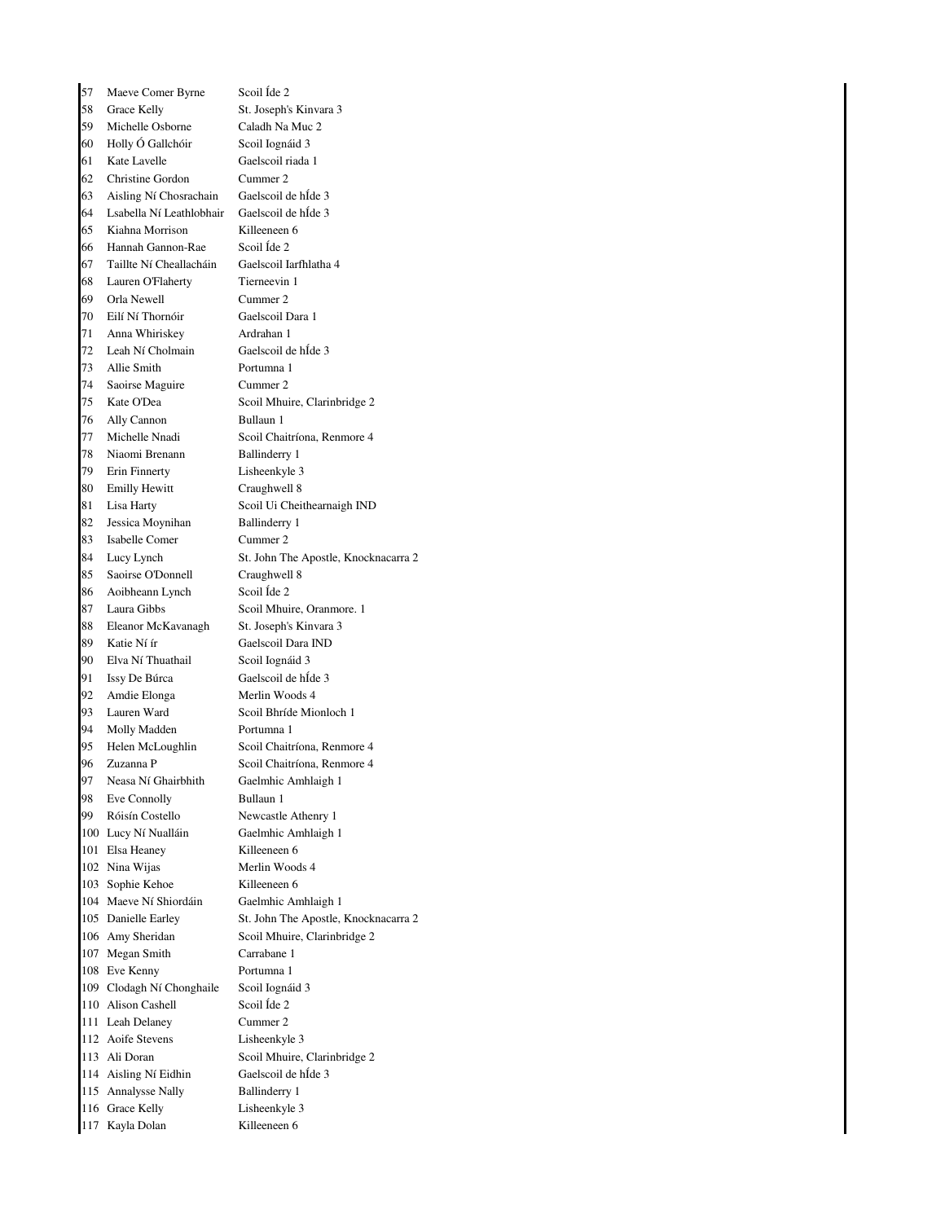57 Maeve Comer Byrne Scoil Íde 2 58 Grace Kelly St. Joseph's Kinvara 3 59 Michelle Osborne Caladh Na Muc 2 60 Holly Ó Gallchóir Scoil Iognáid 3 61 Kate Lavelle Gaelscoil riada 1 62 Christine Gordon Cummer 2 63 Aisling Ní Chosrachain Gaelscoil de hÍde 3 64 Lsabella Ní Leathlobhair Gaelscoil de hÍde 3 65 Kiahna Morrison Killeeneen 6 66 Hannah Gannon-Rae Scoil Íde 2 67 Taillte Ní Cheallacháin Gaelscoil Iarfhlatha 4 68 Lauren O'Flaherty Tierneevin 1 69 Orla Newell Cummer 2 70 Eilí Ní Thornóir Gaelscoil Dara 1 71 Anna Whiriskey Ardrahan 1 72 Leah Ní Cholmain Gaelscoil de hÍde 3 73 Allie Smith Portumna 1 74 Saoirse Maguire Cummer 2 75 Kate O'Dea Scoil Mhuire, Clarinbridge 2 76 Ally Cannon Bullaun 1 77 Michelle Nnadi Scoil Chaitríona, Renmore 4 78 Niaomi Brenann Ballinderry 1 79 Erin Finnerty Lisheenkyle 3 80 Emilly Hewitt Craughwell 8 81 Lisa Harty Scoil Ui Cheithearnaigh IND 82 Jessica Moynihan Ballinderry 1 83 Isabelle Comer Cummer 2 84 Lucy Lynch St. John The Apostle, Knocknacarra 2 85 Saoirse O'Donnell Craughwell 8 86 Aoibheann Lynch Scoil Íde 2 87 Laura Gibbs Scoil Mhuire, Oranmore. 1 88 Eleanor McKavanagh St. Joseph's Kinvara 3 89 Katie Ní ír Gaelscoil Dara IND 90 Elva Ní Thuathail Scoil Iognáid 3 91 Issy De Búrca Gaelscoil de hÍde 3 92 Amdie Elonga Merlin Woods 4 93 Lauren Ward Scoil Bhríde Mionloch 1 94 Molly Madden Portumna 1 95 Helen McLoughlin Scoil Chaitríona, Renmore 4 96 Zuzanna P Scoil Chaitríona, Renmore 4 97 Neasa Ní Ghairbhith Gaelmhic Amhlaigh 1 98 Eve Connolly Bullaun 1 99 Róisín Costello Newcastle Athenry 1 100 Lucy Ní Nualláin Gaelmhic Amhlaigh 1 101 Elsa Heaney Killeeneen 6 102 Nina Wijas Merlin Woods 4 103 Sophie Kehoe Killeeneen 6 104 Maeve Ní Shiordáin Gaelmhic Amhlaigh 1 105 Danielle Earley St. John The Apostle, Knocknacarra 2 106 Amy Sheridan Scoil Mhuire, Clarinbridge 2 107 Megan Smith Carrabane 1 108 Eve Kenny Portumna 1 109 Clodagh Ní Chonghaile Scoil Iognáid 3 110 Alison Cashell Scoil Íde 2 111 Leah Delaney Cummer 2 112 Aoife Stevens Lisheenkyle 3 113 Ali Doran Scoil Mhuire, Clarinbridge 2 114 Aisling Ní Eidhin Gaelscoil de hÍde 3 115 Annalysse Nally Ballinderry 1 116 Grace Kelly Lisheenkyle 3 117 Kayla Dolan Killeeneen 6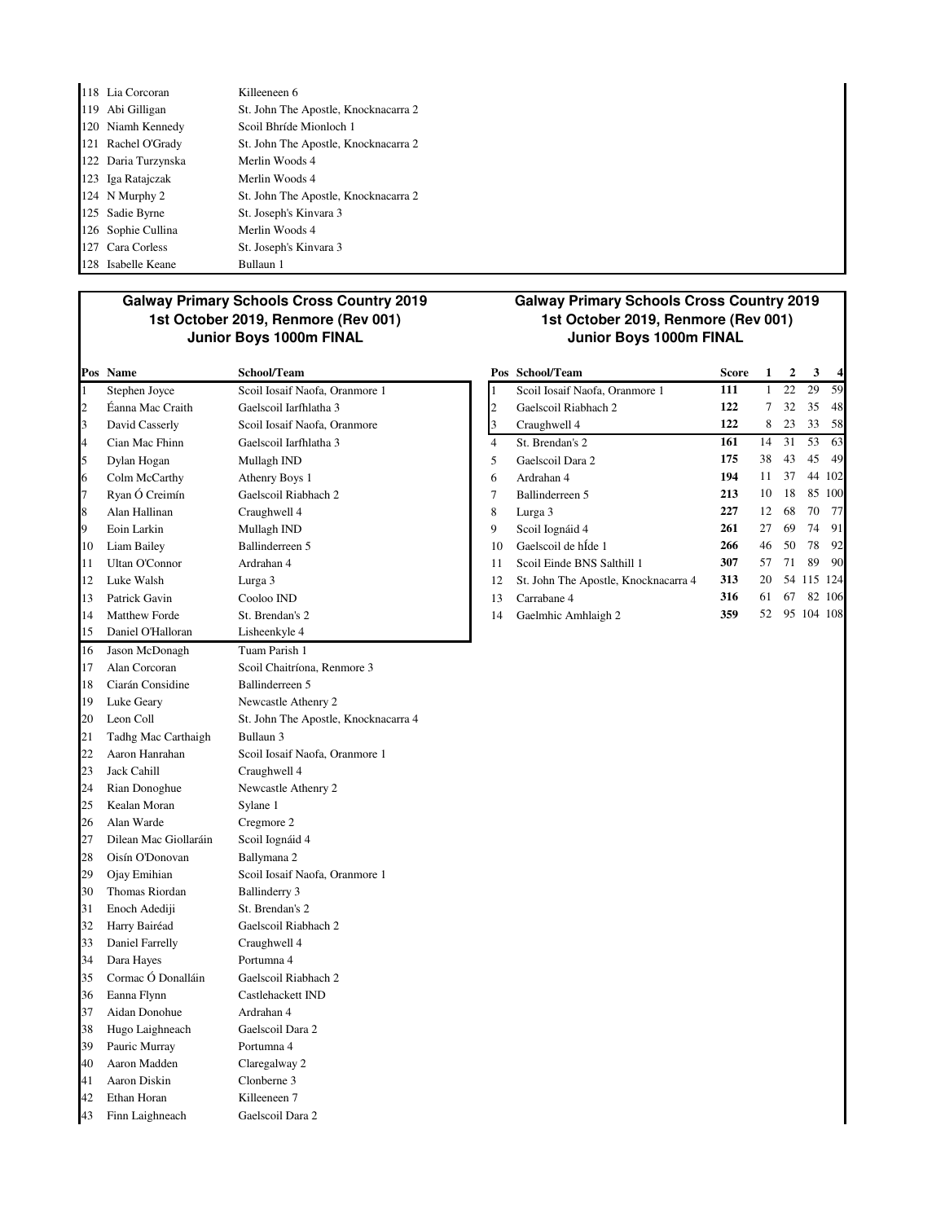| 118 Lia Corcoran    | Killeeneen 6                         |
|---------------------|--------------------------------------|
| 119 Abi Gilligan    | St. John The Apostle, Knocknacarra 2 |
| 120 Niamh Kennedy   | Scoil Bhríde Mionloch 1              |
| 121 Rachel O'Grady  | St. John The Apostle, Knocknacarra 2 |
| 122 Daria Turzynska | Merlin Woods 4                       |
| 123 Iga Ratajczak   | Merlin Woods 4                       |
| 124 N Murphy 2      | St. John The Apostle, Knocknacarra 2 |
| 125 Sadie Byrne     | St. Joseph's Kinvara 3               |
| 126 Sophie Cullina  | Merlin Woods 4                       |
| 127 Cara Corless    | St. Joseph's Kinvara 3               |
| 128 Isabelle Keane  | Bullaun 1                            |

## **Galway Primary Schools Cross Country 2019 1st October 2019, Renmore (Rev 001)**

| Pos            | Name                  | School/Team                          | Pos            | School/Team                          | Score | 1              | 2  | 3          | 4      |
|----------------|-----------------------|--------------------------------------|----------------|--------------------------------------|-------|----------------|----|------------|--------|
| $\mathbf{1}$   | Stephen Joyce         | Scoil Iosaif Naofa, Oranmore 1       | 1              | Scoil Iosaif Naofa, Oranmore 1       | 111   | $\mathbf{1}$   | 22 | 29         | 59     |
| $\overline{c}$ | Éanna Mac Craith      | Gaelscoil Iarfhlatha 3               | $\overline{c}$ | Gaelscoil Riabhach 2                 | 122   | $\overline{7}$ | 32 | 35         | 48     |
| 3              | David Casserly        | Scoil Iosaif Naofa, Oranmore         | 3              | Craughwell 4                         | 122   | 8              | 23 | 33         | 58     |
| 4              | Cian Mac Fhinn        | Gaelscoil Iarfhlatha 3               | $\overline{4}$ | St. Brendan's 2                      | 161   | 14             | 31 | 53         | 63     |
| 5              | Dylan Hogan           | Mullagh IND                          | 5              | Gaelscoil Dara 2                     | 175   | 38             | 43 | 45         | 49     |
| 6              | Colm McCarthy         | Athenry Boys 1                       | 6              | Ardrahan 4                           | 194   | 11             | 37 |            | 44 102 |
| $\overline{7}$ | Ryan Ó Creimín        | Gaelscoil Riabhach 2                 | $\overline{7}$ | Ballinderreen 5                      | 213   | 10             | 18 |            | 85 100 |
| 8              | Alan Hallinan         | Craughwell 4                         | 8              | Lurga 3                              | 227   | 12             | 68 | 70         | 77     |
| 9              | Eoin Larkin           | Mullagh IND                          | 9              | Scoil Iognáid 4                      | 261   | 27             | 69 | 74         | 91     |
| 10             | Liam Bailey           | Ballinderreen 5                      | 10             | Gaelscoil de hÍde 1                  | 266   | 46             | 50 | 78         | 92     |
| 11             | <b>Ultan O'Connor</b> | Ardrahan 4                           | 11             | Scoil Einde BNS Salthill 1           | 307   | 57             | 71 | 89         | 90     |
| 12             | Luke Walsh            | Lurga 3                              | 12             | St. John The Apostle, Knocknacarra 4 | 313   | 20             |    | 54 115 124 |        |
| 13             | Patrick Gavin         | Cooloo IND                           | 13             | Carrabane 4                          | 316   | 61             | 67 |            | 82 106 |
| 14             | Matthew Forde         | St. Brendan's 2                      | 14             | Gaelmhic Amhlaigh 2                  | 359   | 52             |    | 95 104 108 |        |
| 15             | Daniel O'Halloran     | Lisheenkyle 4                        |                |                                      |       |                |    |            |        |
| 16             | Jason McDonagh        | Tuam Parish 1                        |                |                                      |       |                |    |            |        |
| 17             | Alan Corcoran         | Scoil Chaitríona, Renmore 3          |                |                                      |       |                |    |            |        |
| 18             | Ciarán Considine      | Ballinderreen 5                      |                |                                      |       |                |    |            |        |
| 19             | Luke Geary            | Newcastle Athenry 2                  |                |                                      |       |                |    |            |        |
| 20             | Leon Coll             | St. John The Apostle, Knocknacarra 4 |                |                                      |       |                |    |            |        |
| 21             | Tadhg Mac Carthaigh   | Bullaun 3                            |                |                                      |       |                |    |            |        |
| 22             | Aaron Hanrahan        | Scoil Iosaif Naofa, Oranmore 1       |                |                                      |       |                |    |            |        |
| 23             | Jack Cahill           | Craughwell 4                         |                |                                      |       |                |    |            |        |
| 24             | Rian Donoghue         | Newcastle Athenry 2                  |                |                                      |       |                |    |            |        |
| 25             | Kealan Moran          | Sylane 1                             |                |                                      |       |                |    |            |        |
| 26             | Alan Warde            | Cregmore 2                           |                |                                      |       |                |    |            |        |
| 27             | Dilean Mac Giollaráin | Scoil Iognáid 4                      |                |                                      |       |                |    |            |        |
| 28             | Oisín O'Donovan       | Ballymana 2                          |                |                                      |       |                |    |            |        |
| 29             | Ojay Emihian          | Scoil Iosaif Naofa, Oranmore 1       |                |                                      |       |                |    |            |        |
| 30             | Thomas Riordan        | <b>Ballinderry 3</b>                 |                |                                      |       |                |    |            |        |
| 31             | Enoch Adediji         | St. Brendan's 2                      |                |                                      |       |                |    |            |        |
| 32             | Harry Bairéad         | Gaelscoil Riabhach 2                 |                |                                      |       |                |    |            |        |
| 33             | Daniel Farrelly       | Craughwell 4                         |                |                                      |       |                |    |            |        |
| 34             | Dara Hayes            | Portumna 4                           |                |                                      |       |                |    |            |        |
| 35             | Cormac Ó Donalláin    | Gaelscoil Riabhach 2                 |                |                                      |       |                |    |            |        |
| 36             | Eanna Flynn           | Castlehackett IND                    |                |                                      |       |                |    |            |        |
| 37             | Aidan Donohue         | Ardrahan 4                           |                |                                      |       |                |    |            |        |
| 38             | Hugo Laighneach       | Gaelscoil Dara 2                     |                |                                      |       |                |    |            |        |
| 39             | Pauric Murray         | Portumna 4                           |                |                                      |       |                |    |            |        |
| 40             | Aaron Madden          | Claregalway 2                        |                |                                      |       |                |    |            |        |
| 41             | Aaron Diskin          | Clonberne 3                          |                |                                      |       |                |    |            |        |
| 42             | Ethan Horan           | Killeeneen 7                         |                |                                      |       |                |    |            |        |
| 43             | Finn Laighneach       | Gaelscoil Dara 2                     |                |                                      |       |                |    |            |        |

#### **Galway Primary Schools Cross Country 2019 1st October 2019, Renmore (Rev 001) Junior Boys 1000m FINAL Junior Boys 1000m FINAL**

|    | Pos Name             | School/Team                    |    | Pos School/Team                      | <b>Score</b> |    | 2  | 3          | $\overline{4}$ |
|----|----------------------|--------------------------------|----|--------------------------------------|--------------|----|----|------------|----------------|
|    | Stephen Joyce        | Scoil Iosaif Naofa, Oranmore 1 |    | Scoil Iosaif Naofa, Oranmore 1       | 111          |    | 22 | 29         | 59             |
| 2  | Éanna Mac Craith     | Gaelscoil Iarfhlatha 3         |    | Gaelscoil Riabhach 2                 | 122          | 7  | 32 | 35         | 48             |
| 3  | David Casserly       | Scoil Iosaif Naofa, Oranmore   |    | Craughwell 4                         | 122          | 8  | 23 | 33         | 58             |
| 4  | Cian Mac Fhinn       | Gaelscoil Iarfhlatha 3         | 4  | St. Brendan's 2                      | 161          | 14 | 31 | 53         | 63             |
| 5  | Dylan Hogan          | Mullagh IND                    | 5  | Gaelscoil Dara 2                     | 175          | 38 | 43 | 45         | 49             |
| 6  | Colm McCarthy        | Athenry Boys 1                 | 6  | Ardrahan 4                           | 194          | 11 | 37 |            | 44 102         |
| 7  | Ryan Ó Creimín       | Gaelscoil Riabhach 2           | 7  | Ballinderreen 5                      | 213          | 10 | 18 |            | 85 100         |
| 8  | Alan Hallinan        | Craughwell 4                   | 8  | Lurga 3                              | 227          | 12 | 68 | 70         | <b>77</b>      |
| 9  | Eoin Larkin          | Mullagh IND                    | 9  | Scoil Iognáid 4                      | 261          | 27 | 69 | 74         | 91             |
| 10 | Liam Bailey          | Ballinderreen 5                | 10 | Gaelscoil de hÍde 1                  | 266          | 46 | 50 | 78         | 92             |
| 11 | Ultan O'Connor       | Ardrahan 4                     | 11 | Scoil Einde BNS Salthill 1           | 307          | 57 | 71 | 89         | 90             |
| 12 | Luke Walsh           | Lurga 3                        | 12 | St. John The Apostle, Knocknacarra 4 | 313          | 20 |    | 54 115 124 |                |
| 13 | Patrick Gavin        | Cooloo IND                     | 13 | Carrabane 4                          | 316          | 61 | 67 |            | 82 106         |
| 14 | <b>Matthew Forde</b> | St. Brendan's 2                | 14 | Gaelmhic Amhlaigh 2                  | 359          | 52 |    | 95 104 108 |                |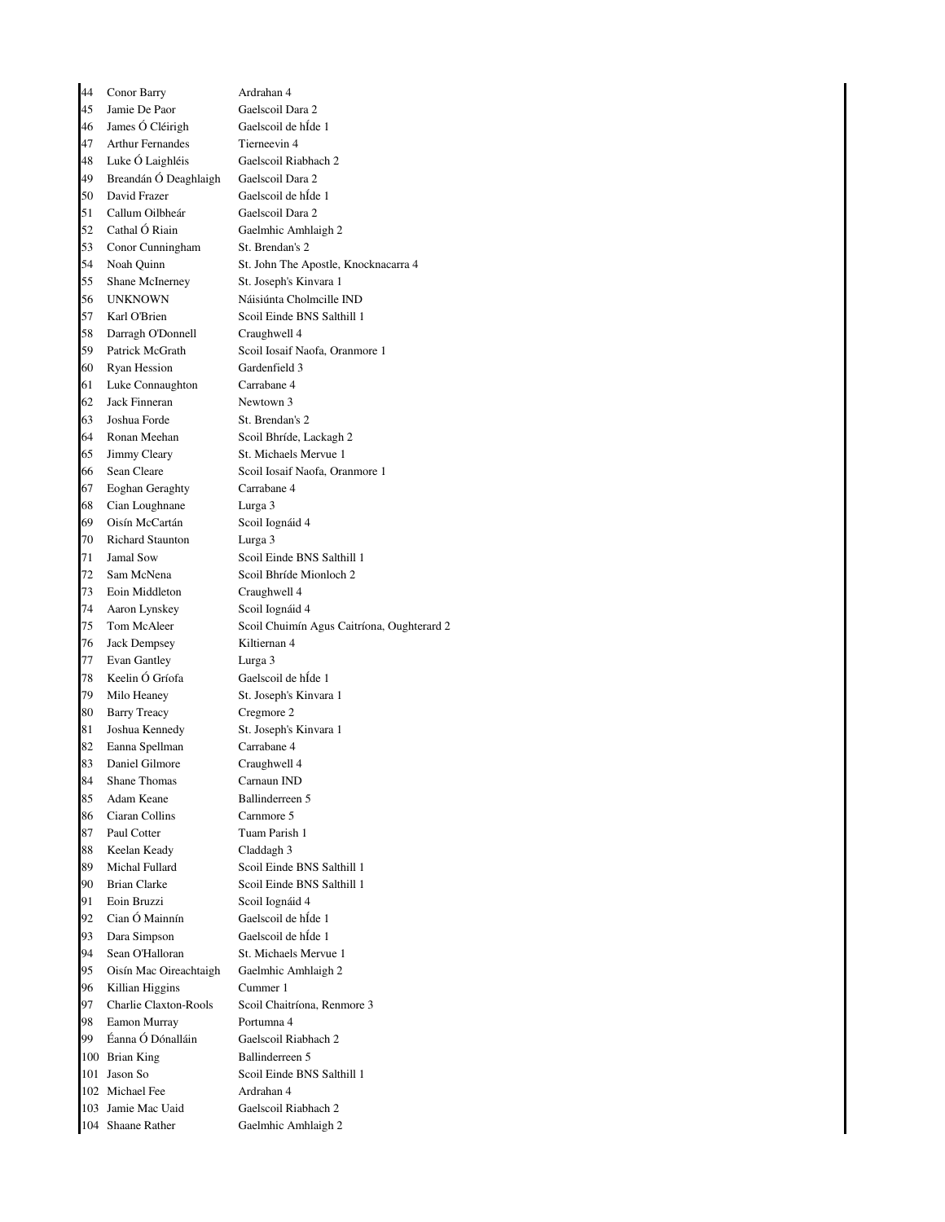| 44 | Conor Barry                             | Ardrahan 4                                  |
|----|-----------------------------------------|---------------------------------------------|
| 45 | Jamie De Paor                           | Gaelscoil Dara 2                            |
| 46 | James Ó Cléirigh                        | Gaelscoil de hÍde 1                         |
| 47 | <b>Arthur Fernandes</b>                 | Tierneevin 4                                |
| 48 | Luke Ó Laighléis                        | Gaelscoil Riabhach 2                        |
| 49 | Breandán Ó Deaghlaigh                   | Gaelscoil Dara 2                            |
| 50 | David Frazer                            | Gaelscoil de hÍde 1                         |
| 51 | Callum Oilbheár                         | Gaelscoil Dara 2                            |
| 52 | Cathal Ó Riain                          | Gaelmhic Amhlaigh 2                         |
| 53 | Conor Cunningham                        | St. Brendan's 2                             |
| 54 |                                         | St. John The Apostle, Knocknacarra 4        |
|    | Noah Quinn                              |                                             |
| 55 | Shane McInerney                         | St. Joseph's Kinvara 1                      |
| 56 | <b>UNKNOWN</b>                          | Náisiúnta Cholmcille IND                    |
| 57 | Karl O'Brien                            | Scoil Einde BNS Salthill 1                  |
| 58 | Darragh O'Donnell                       | Craughwell 4                                |
| 59 | Patrick McGrath                         | Scoil Iosaif Naofa, Oranmore 1              |
| 60 | <b>Ryan Hession</b>                     | Gardenfield 3                               |
| 61 | Luke Connaughton                        | Carrabane 4                                 |
| 62 | Jack Finneran                           | Newtown 3                                   |
| 63 | Joshua Forde                            | St. Brendan's 2                             |
| 64 | Ronan Meehan                            | Scoil Bhríde, Lackagh 2                     |
| 65 | Jimmy Cleary                            | St. Michaels Mervue 1                       |
| 66 | Sean Cleare                             | Scoil Iosaif Naofa, Oranmore 1              |
| 67 | <b>Eoghan Geraghty</b>                  | Carrabane 4                                 |
| 68 | Cian Loughnane                          | Lurga 3                                     |
| 69 | Oisín McCartán                          | Scoil Iognáid 4                             |
| 70 | <b>Richard Staunton</b>                 | Lurga 3                                     |
| 71 | Jamal Sow                               | Scoil Einde BNS Salthill 1                  |
| 72 | Sam McNena                              | Scoil Bhríde Mionloch 2                     |
| 73 | Eoin Middleton                          | Craughwell 4                                |
| 74 |                                         | Scoil Iognáid 4                             |
| 75 | Aaron Lynskey<br>Tom McAleer            | Scoil Chuimín Agus Caitríona, Oughterard 2  |
| 76 |                                         | Kiltiernan 4                                |
|    | <b>Jack Dempsey</b>                     |                                             |
| 77 | Evan Gantley                            | Lurga 3                                     |
| 78 | Keelin Ó Gríofa                         | Gaelscoil de hÍde 1                         |
| 79 | Milo Heaney                             | St. Joseph's Kinvara 1                      |
| 80 | <b>Barry Treacy</b>                     | Cregmore 2                                  |
| 81 | Joshua Kennedy                          | St. Joseph's Kinvara 1                      |
| 82 | Eanna Spellman                          | Carrabane 4                                 |
| 83 | Daniel Gilmore                          | Craughwell 4                                |
| 84 | <b>Shane Thomas</b>                     | Carnaun IND                                 |
| 85 | Adam Keane                              | Ballinderreen 5                             |
| 86 | Ciaran Collins                          | Carnmore 5                                  |
| 87 | Paul Cotter                             | Tuam Parish 1                               |
| 88 | Keelan Keady                            | Claddagh 3                                  |
| 89 | Michal Fullard                          | Scoil Einde BNS Salthill 1                  |
| 90 | <b>Brian Clarke</b>                     | Scoil Einde BNS Salthill 1                  |
| 91 | Eoin Bruzzi                             | Scoil Iognáid 4                             |
| 92 | Cian Ó Mainnín                          | Gaelscoil de hÍde 1                         |
| 93 | Dara Simpson                            | Gaelscoil de hÍde 1                         |
| 94 | Sean O'Halloran                         | St. Michaels Mervue 1                       |
| 95 | Oisín Mac Oireachtaigh                  | Gaelmhic Amhlaigh 2                         |
| 96 | Killian Higgins                         | Cummer 1                                    |
| 97 | Charlie Claxton-Rools                   | Scoil Chaitríona, Renmore 3                 |
| 98 | Eamon Murray                            | Portumna 4                                  |
| 99 | Éanna Ó Dónalláin                       | Gaelscoil Riabhach 2                        |
|    |                                         | Ballinderreen 5                             |
|    | 100 Brian King                          |                                             |
|    | 101 Jason So                            | Scoil Einde BNS Salthill 1                  |
|    | 102 Michael Fee                         | Ardrahan 4                                  |
|    |                                         |                                             |
|    | 103 Jamie Mac Uaid<br>104 Shaane Rather | Gaelscoil Riabhach 2<br>Gaelmhic Amhlaigh 2 |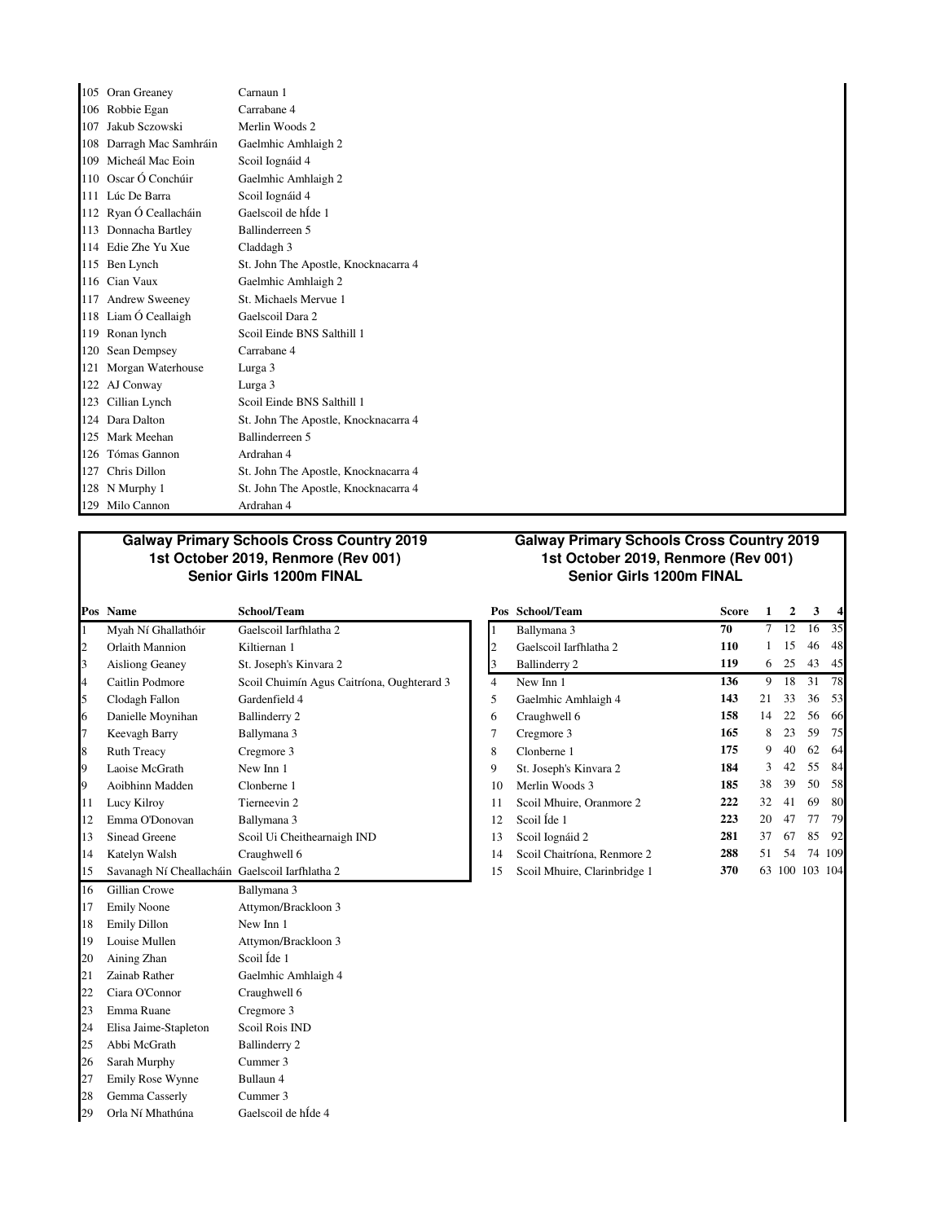| 105 Oran Greaney         | Carnaun 1                            |
|--------------------------|--------------------------------------|
| 106 Robbie Egan          | Carrabane 4                          |
| 107 Jakub Sczowski       | Merlin Woods 2                       |
| 108 Darragh Mac Samhráin | Gaelmhic Amhlaigh 2                  |
| 109 Micheál Mac Eoin     | Scoil Iognáid 4                      |
| 110 Oscar Ó Conchúir     | Gaelmhic Amhlaigh 2                  |
| 111 Lúc De Barra         | Scoil Iognáid 4                      |
| 112 Ryan Ó Ceallacháin   | Gaelscoil de hÍde 1                  |
| 113 Donnacha Bartley     | Ballinderreen 5                      |
| 114 Edie Zhe Yu Xue      | Claddagh 3                           |
| 115 Ben Lynch            | St. John The Apostle, Knocknacarra 4 |
| 116 Cian Vaux            | Gaelmhic Amhlaigh 2                  |
| 117 Andrew Sweeney       | St. Michaels Mervue 1                |
| 118 Liam Ó Ceallaigh     | Gaelscoil Dara 2                     |
| 119 Ronan lynch          | Scoil Einde BNS Salthill 1           |
| 120 Sean Dempsey         | Carrabane 4                          |
| 121 Morgan Waterhouse    | Lurga 3                              |
| 122 AJ Conway            | Lurga 3                              |
| 123 Cillian Lynch        | Scoil Einde BNS Salthill 1           |
| 124 Dara Dalton          | St. John The Apostle, Knocknacarra 4 |
| 125 Mark Meehan          | Ballinderreen 5                      |
| 126 Tómas Gannon         | Ardrahan 4                           |
| 127 Chris Dillon         | St. John The Apostle, Knocknacarra 4 |
| 128 N Murphy 1           | St. John The Apostle, Knocknacarra 4 |
| 129 Milo Cannon          | Ardrahan 4                           |

#### **Galway Primary Schools Cross Country 2019 1st October 2019, Renmore (Rev 001) Senior Girls 1200m FINAL Senior Girls 1200m FINAL**

|    | Pos Name                                        | School/Team                                |                | Pos School/Team              | Score | 1           | $\mathbf{2}$ | 3              | 4      |
|----|-------------------------------------------------|--------------------------------------------|----------------|------------------------------|-------|-------------|--------------|----------------|--------|
|    | Myah Ní Ghallathóir                             | Gaelscoil Iarfhlatha 2                     |                | Ballymana 3                  | 70    | $7^{\circ}$ | 12           | 16             | 35     |
| 2  | Orlaith Mannion                                 | Kiltiernan 1                               | $\overline{c}$ | Gaelscoil Iarfhlatha 2       | 110   | 1           | 15           | 46             | 48     |
| 3  | <b>Aisliong Geaney</b>                          | St. Joseph's Kinvara 2                     | 3              | Ballinderry 2                | 119   | 6           | 25           | 43             | 45     |
| 4  | Caitlin Podmore                                 | Scoil Chuimín Agus Caitríona, Oughterard 3 | $\overline{4}$ | New Inn 1                    | 136   | 9           | 18           | 31             | 78     |
| 5  | Clodagh Fallon                                  | Gardenfield 4                              | 5              | Gaelmhic Amhlaigh 4          | 143   | 21          | 33           | 36             | .53    |
| 6  | Danielle Moynihan                               | Ballinderry 2                              | 6              | Craughwell 6                 | 158   | 14          | 22           | 56             | 66     |
| 17 | Keevagh Barry                                   | Ballymana 3                                | 7              | Cregmore 3                   | 165   | 8           | 23           | 59             | 75     |
| 8  | <b>Ruth Treacy</b>                              | Cregmore 3                                 | 8              | Clonberne 1                  | 175   | 9           | 40           | 62             | 64     |
| 9  | Laoise McGrath                                  | New Inn 1                                  | 9              | St. Joseph's Kinvara 2       | 184   | 3           | 42           | 55             | 84     |
| 19 | Aoibhinn Madden                                 | Clonberne 1                                | 10             | Merlin Woods 3               | 185   | 38          | 39           | 50             | 58     |
| 11 | Lucy Kilroy                                     | Tierneevin 2                               | 11             | Scoil Mhuire, Oranmore 2     | 222   | 32          | 41           | 69             | 80     |
| 12 | Emma O'Donovan                                  | Ballymana 3                                | 12             | Scoil Íde 1                  | 223   | 20          | 47           | 77             | 79     |
| 13 | Sinead Greene                                   | Scoil Ui Cheithearnaigh IND                | 13             | Scoil Iognáid 2              | 281   | 37          | 67           | 85             | 92     |
| 14 | Katelyn Walsh                                   | Craughwell 6                               | 14             | Scoil Chaitríona, Renmore 2  | 288   | 51          | 54           |                | 74 109 |
| 15 | Savanagh Ní Cheallacháin Gaelscoil Iarfhlatha 2 |                                            | 15             | Scoil Mhuire, Clarinbridge 1 | 370   |             |              | 63 100 103 104 |        |
| 16 | Gillian Crowe                                   | Ballymana 3                                |                |                              |       |             |              |                |        |
| 17 | <b>Emily Noone</b>                              | Attymon/Brackloon 3                        |                |                              |       |             |              |                |        |
| 18 | <b>Emily Dillon</b>                             | New Inn 1                                  |                |                              |       |             |              |                |        |
| 19 | Louise Mullen                                   | Attymon/Brackloon 3                        |                |                              |       |             |              |                |        |
| 20 | Aining Zhan                                     | Scoil Íde 1                                |                |                              |       |             |              |                |        |
| 21 | Zainab Rather                                   | Gaelmhic Amhlaigh 4                        |                |                              |       |             |              |                |        |
| 22 | Ciara O'Connor                                  | Craughwell 6                               |                |                              |       |             |              |                |        |
| 23 | Emma Ruane                                      | Cregmore 3                                 |                |                              |       |             |              |                |        |
| 24 | Elisa Jaime-Stapleton                           | Scoil Rois IND                             |                |                              |       |             |              |                |        |
| 25 | Abbi McGrath                                    | Ballinderry 2                              |                |                              |       |             |              |                |        |
| 26 | Sarah Murphy                                    | Cummer 3                                   |                |                              |       |             |              |                |        |
| 27 | Emily Rose Wynne                                | Bullaun 4                                  |                |                              |       |             |              |                |        |
| 28 | Gemma Casserly                                  | Cummer 3                                   |                |                              |       |             |              |                |        |
| 29 | Orla Ní Mhathúna                                | Gaelscoil de hÍde 4                        |                |                              |       |             |              |                |        |

### **Galway Primary Schools Cross Country 2019 1st October 2019, Renmore (Rev 001)**

| Pos            | School/Team                  | <b>Score</b> | 1  | 2  | 3           | 4   |
|----------------|------------------------------|--------------|----|----|-------------|-----|
| $\overline{1}$ | Ballymana 3                  | 70           | 7  | 12 | 16          | 35  |
|                | Gaelscoil Iarfhlatha 2       | 110          | 1  | 15 | 46          | 48  |
| $\frac{2}{3}$  | <b>Ballinderry 2</b>         | 119          | 6  | 25 | 43          | 45  |
| $\overline{4}$ | New Inn 1                    | 136          | 9  | 18 | 31          | 78  |
| 5              | Gaelmhic Amhlaigh 4          | 143          | 21 | 33 | 36          | 53  |
| 6              | Craughwell 6                 | 158          | 14 | 22 | 56          | 66  |
| 7              | Cregmore 3                   | 165          | 8  | 23 | 59          | 75  |
| 8              | Clonberne 1                  | 175          | 9  | 40 | 62          | 64  |
| 9              | St. Joseph's Kinvara 2       | 184          | 3  | 42 | 55          | 84  |
| 10             | Merlin Woods 3               | 185          | 38 | 39 | 50          | 58  |
| 11             | Scoil Mhuire, Oranmore 2     | 222          | 32 | 41 | 69          | 80  |
| 12             | Scoil Íde 1                  | 223          | 20 | 47 | 77          | 79  |
| 13             | Scoil Iognáid 2              | 281          | 37 | 67 | 85          | 92  |
| 14             | Scoil Chaitríona, Renmore 2  | 288          | 51 | 54 | 74          | 109 |
| 15             | Scoil Mhuire, Clarinbridge 1 | 370          | 63 |    | 100 103 104 |     |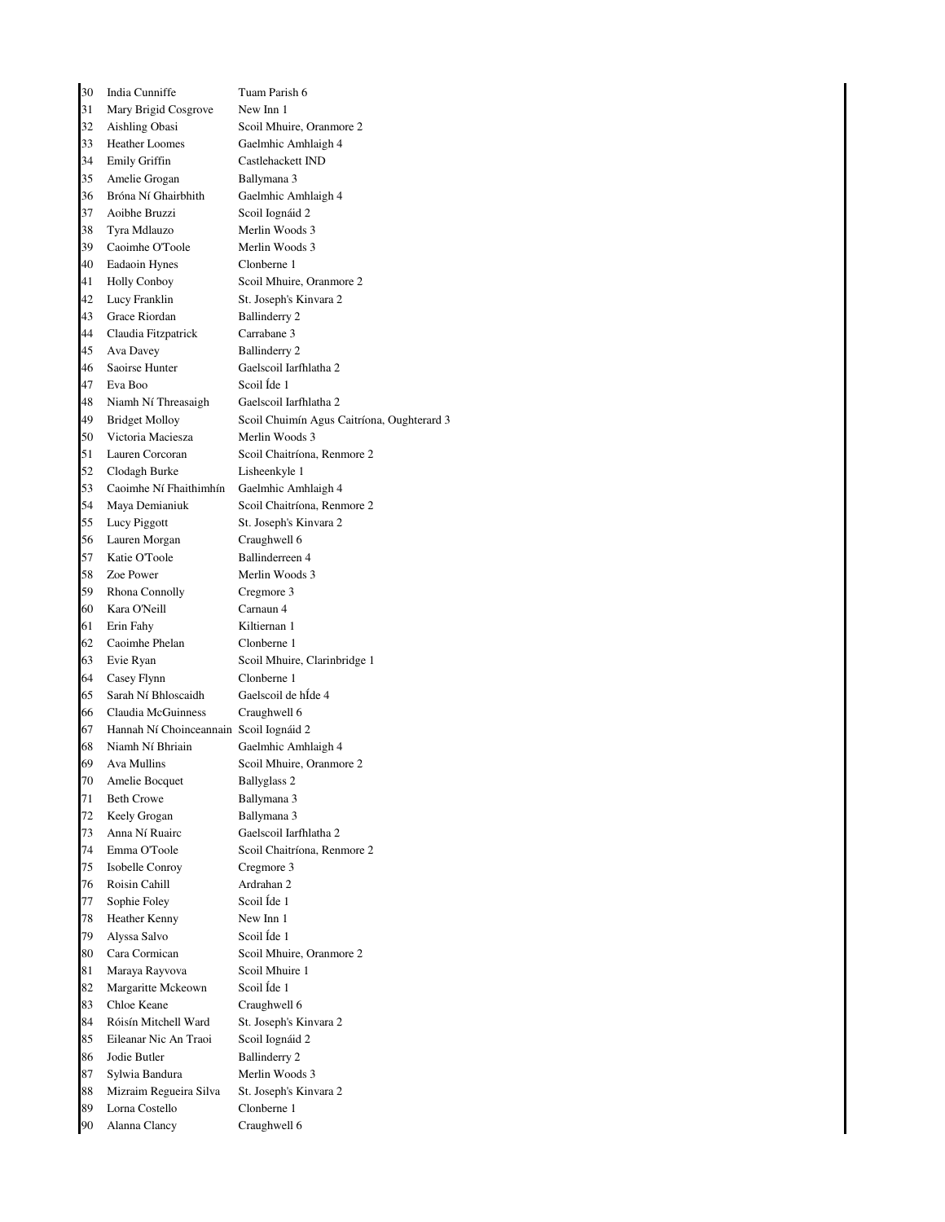| 30 | India Cunniffe                          | Tuam Parish 6                              |
|----|-----------------------------------------|--------------------------------------------|
| 31 | Mary Brigid Cosgrove                    | New Inn 1                                  |
| 32 | Aishling Obasi                          | Scoil Mhuire, Oranmore 2                   |
| 33 | <b>Heather Loomes</b>                   | Gaelmhic Amhlaigh 4                        |
| 34 | <b>Emily Griffin</b>                    | Castlehackett IND                          |
| 35 | Amelie Grogan                           | Ballymana 3                                |
| 36 | Bróna Ní Ghairbhith                     | Gaelmhic Amhlaigh 4                        |
| 37 | Aoibhe Bruzzi                           | Scoil Iognáid 2                            |
| 38 | Tyra Mdlauzo                            | Merlin Woods 3                             |
| 39 | Caoimhe O'Toole                         | Merlin Woods 3                             |
| 40 | Eadaoin Hynes                           | Clonberne 1                                |
| 41 | <b>Holly Conboy</b>                     | Scoil Mhuire, Oranmore 2                   |
| 42 | Lucy Franklin                           | St. Joseph's Kinvara 2                     |
| 43 | Grace Riordan                           | <b>Ballinderry 2</b>                       |
| 44 | Claudia Fitzpatrick                     | Carrabane 3                                |
| 45 | Ava Davey                               | Ballinderry 2                              |
| 46 | Saoirse Hunter                          | Gaelscoil Iarfhlatha 2                     |
| 47 | Eva Boo                                 | Scoil Ide 1                                |
| 48 | Niamh Ní Threasaigh                     | Gaelscoil Iarfhlatha 2                     |
| 49 | <b>Bridget Molloy</b>                   | Scoil Chuimín Agus Caitríona, Oughterard 3 |
| 50 | Victoria Maciesza                       | Merlin Woods 3                             |
| 51 | Lauren Corcoran                         | Scoil Chaitríona, Renmore 2                |
| 52 | Clodagh Burke                           | Lisheenkyle 1                              |
| 53 | Caoimhe Ní Fhaithimhín                  | Gaelmhic Amhlaigh 4                        |
| 54 | Maya Demianiuk                          | Scoil Chaitríona, Renmore 2                |
| 55 | Lucy Piggott                            | St. Joseph's Kinvara 2                     |
| 56 | Lauren Morgan                           | Craughwell 6                               |
| 57 | Katie O'Toole                           | Ballinderreen 4                            |
| 58 | Zoe Power                               | Merlin Woods 3                             |
| 59 | Rhona Connolly                          | Cregmore 3                                 |
| 60 | Kara O'Neill                            | Carnaun 4                                  |
| 61 | Erin Fahy                               | Kiltiernan 1                               |
| 62 | Caoimhe Phelan                          | Clonberne 1                                |
| 63 | Evie Ryan                               | Scoil Mhuire, Clarinbridge 1               |
| 64 | Casey Flynn                             | Clonberne 1                                |
| 65 | Sarah Ní Bhloscaidh                     | Gaelscoil de hÍde 4                        |
| 66 | Claudia McGuinness                      | Craughwell 6                               |
| 67 | Hannah Ní Choinceannain Scoil Iognáid 2 |                                            |
| 68 | Niamh Ní Bhriain                        | Gaelmhic Amhlaigh 4                        |
| 69 | Ava Mullins                             | Scoil Mhuire, Oranmore 2                   |
| 70 | Amelie Bocquet                          | <b>Ballyglass 2</b>                        |
| 71 | <b>Beth Crowe</b>                       | Ballymana 3                                |
| 72 | Keely Grogan                            | Ballymana 3                                |
| 73 | Anna Ní Ruairc                          | Gaelscoil Iarfhlatha 2                     |
| 74 | Emma O'Toole                            | Scoil Chaitríona, Renmore 2                |
| 75 | Isobelle Conroy                         | Cregmore 3                                 |
| 76 | Roisin Cahill                           | Ardrahan 2                                 |
| 77 | Sophie Foley                            | Scoil Íde 1                                |
| 78 | Heather Kenny                           | New Inn 1                                  |
| 79 | Alyssa Salvo                            | Scoil Íde 1                                |
| 80 | Cara Cormican                           | Scoil Mhuire, Oranmore 2                   |
| 81 | Maraya Rayvova                          | Scoil Mhuire 1                             |
| 82 | Margaritte Mckeown                      | Scoil Íde 1                                |
| 83 | Chloe Keane                             | Craughwell 6                               |
| 84 | Róisín Mitchell Ward                    | St. Joseph's Kinvara 2                     |
| 85 | Eileanar Nic An Traoi                   | Scoil Iognáid 2                            |
| 86 | Jodie Butler                            | <b>Ballinderry 2</b>                       |
| 87 | Sylwia Bandura                          | Merlin Woods 3                             |
| 88 | Mizraim Regueira Silva                  | St. Joseph's Kinvara 2                     |
| 89 | Lorna Costello                          | Clonberne 1                                |
| 90 | Alanna Clancy                           | Craughwell 6                               |
|    |                                         |                                            |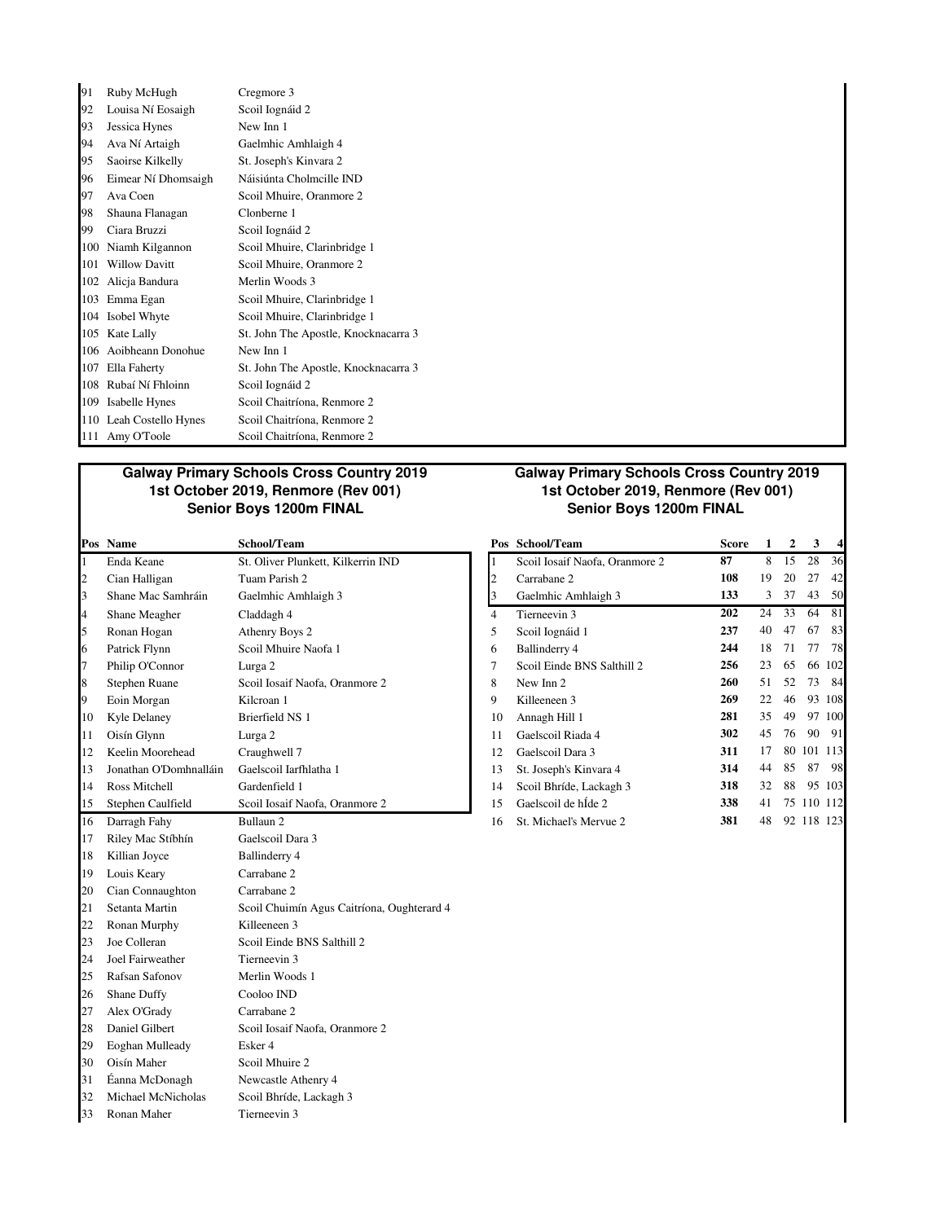| 91  | Ruby McHugh          | Cregmore 3                           |
|-----|----------------------|--------------------------------------|
| 92  | Louisa Ní Eosaigh    | Scoil Iognáid 2                      |
| 93  | Jessica Hynes        | New Inn 1                            |
| 94  | Ava Ní Artaigh       | Gaelmhic Amhlaigh 4                  |
| 95  | Saoirse Kilkelly     | St. Joseph's Kinvara 2               |
| 96  | Eimear Ní Dhomsaigh  | Náisiúnta Cholmcille IND             |
| 97  | Ava Coen             | Scoil Mhuire, Oranmore 2             |
| 98  | Shauna Flanagan      | Clonberne 1                          |
| 99  | Ciara Bruzzi         | Scoil Iognáid 2                      |
| 100 | Niamh Kilgannon      | Scoil Mhuire, Clarinbridge 1         |
| 101 | <b>Willow Davitt</b> | Scoil Mhuire, Oranmore 2             |
| 102 | Alicja Bandura       | Merlin Woods 3                       |
| 103 | Emma Egan            | Scoil Mhuire, Clarinbridge 1         |
| 104 | Isobel Whyte         | Scoil Mhuire, Clarinbridge 1         |
| 105 | Kate Lally           | St. John The Apostle, Knocknacarra 3 |
| 106 | Aoibheann Donohue    | New Inn 1                            |
| 107 | Ella Faherty         | St. John The Apostle, Knocknacarra 3 |
| 108 | Rubaí Ní Fhloinn     | Scoil Iognáid 2                      |
| 109 | Isabelle Hynes       | Scoil Chaitríona, Renmore 2          |
| 110 | Leah Costello Hynes  | Scoil Chaitríona, Renmore 2          |
|     | 111 Amy O'Toole      | Scoil Chaitríona, Renmore 2          |

# **Galway Primary Schools Cross Country 2019 1st October 2019, Renmore (Rev 001)**

|    | Pos Name                | School/Team                                |                | Pos School/Team                | <b>Score</b> | $\mathbf{1}$ | $\overline{2}$ | 3          | 4      |
|----|-------------------------|--------------------------------------------|----------------|--------------------------------|--------------|--------------|----------------|------------|--------|
| 1  | Enda Keane              | St. Oliver Plunkett, Kilkerrin IND         | L              | Scoil Iosaif Naofa, Oranmore 2 | 87           | 8            | 15             | 28         | 36     |
| 2  | Cian Halligan           | Tuam Parish 2                              | $\overline{c}$ | Carrabane 2                    | 108          | 19           | 20             | 27         | 42     |
| 3  | Shane Mac Samhráin      | Gaelmhic Amhlaigh 3                        | 3              | Gaelmhic Amhlaigh 3            | 133          | 3            | 37             | 43         | 50     |
| 4  | Shane Meagher           | Claddagh 4                                 | $\overline{4}$ | Tierneevin 3                   | 202          | 24           | 33             | 64         | 81     |
| 5  | Ronan Hogan             | Athenry Boys 2                             | 5              | Scoil Iognáid 1                | 237          | 40           | 47             | 67         | 83     |
| 6  | Patrick Flynn           | Scoil Mhuire Naofa 1                       | 6              | Ballinderry 4                  | 244          | 18           | 71             | 77         | 78     |
| 7  | Philip O'Connor         | Lurga 2                                    | $\overline{7}$ | Scoil Einde BNS Salthill 2     | 256          | 23           | 65             |            | 66 102 |
| 8  | <b>Stephen Ruane</b>    | Scoil Iosaif Naofa, Oranmore 2             | 8              | New Inn 2                      | 260          | 51           | 52             | 73         | - 84   |
| 9  | Eoin Morgan             | Kilcroan 1                                 | 9              | Killeeneen 3                   | 269          | 22           | 46             |            | 93 108 |
| 10 | Kyle Delaney            | Brierfield NS 1                            | 10             | Annagh Hill 1                  | 281          | 35           | 49             |            | 97 100 |
| 11 | Oisín Glynn             | Lurga 2                                    | 11             | Gaelscoil Riada 4              | 302          | 45           | 76             |            | 90 91  |
| 12 | Keelin Moorehead        | Craughwell 7                               | 12             | Gaelscoil Dara 3               | 311          | 17           |                | 80 101 113 |        |
| 13 | Jonathan O'Domhnalláin  | Gaelscoil Iarfhlatha 1                     | 13             | St. Joseph's Kinvara 4         | 314          | 44           | 85             | 87         | - 98   |
| 14 | Ross Mitchell           | Gardenfield 1                              | 14             | Scoil Bhríde, Lackagh 3        | 318          | 32           | 88             |            | 95 103 |
| 15 | Stephen Caulfield       | Scoil Iosaif Naofa, Oranmore 2             | 15             | Gaelscoil de hÍde 2            | 338          | 41           |                | 75 110 112 |        |
| 16 | Darragh Fahy            | Bullaun <sub>2</sub>                       | 16             | St. Michael's Mervue 2         | 381          | 48           |                | 92 118 123 |        |
| 17 | Riley Mac Stíbhín       | Gaelscoil Dara 3                           |                |                                |              |              |                |            |        |
| 18 | Killian Joyce           | Ballinderry 4                              |                |                                |              |              |                |            |        |
| 19 | Louis Keary             | Carrabane 2                                |                |                                |              |              |                |            |        |
| 20 | Cian Connaughton        | Carrabane 2                                |                |                                |              |              |                |            |        |
| 21 | Setanta Martin          | Scoil Chuimín Agus Caitríona, Oughterard 4 |                |                                |              |              |                |            |        |
| 22 | Ronan Murphy            | Killeeneen 3                               |                |                                |              |              |                |            |        |
| 23 | Joe Colleran            | Scoil Einde BNS Salthill 2                 |                |                                |              |              |                |            |        |
| 24 | <b>Joel Fairweather</b> | Tierneevin 3                               |                |                                |              |              |                |            |        |
| 25 | <b>Rafsan Safonov</b>   | Merlin Woods 1                             |                |                                |              |              |                |            |        |
| 26 | Shane Duffy             | Cooloo IND                                 |                |                                |              |              |                |            |        |
| 27 | Alex O'Grady            | Carrabane 2                                |                |                                |              |              |                |            |        |
| 28 | Daniel Gilbert          | Scoil Iosaif Naofa, Oranmore 2             |                |                                |              |              |                |            |        |
| 29 | Eoghan Mulleady         | Esker 4                                    |                |                                |              |              |                |            |        |
| 30 | Oisín Maher             | Scoil Mhuire 2                             |                |                                |              |              |                |            |        |
| 31 | Éanna McDonagh          | Newcastle Athenry 4                        |                |                                |              |              |                |            |        |
| 32 | Michael McNicholas      | Scoil Bhríde, Lackagh 3                    |                |                                |              |              |                |            |        |
| 33 | Ronan Maher             | Tierneevin 3                               |                |                                |              |              |                |            |        |

#### **Galway Primary Schools Cross Country 2019 1st October 2019, Renmore (Rev 001)** Senior Boys 1200m FINAL

| Pos            | School/Team                    | Score | 1  | $\mathbf{2}$ | 3   | 4      |
|----------------|--------------------------------|-------|----|--------------|-----|--------|
| $\mathbf{1}$   | Scoil Iosaif Naofa, Oranmore 2 | 87    | 8  | 15           | 28  | 36     |
| $\overline{c}$ | Carrabane 2                    | 108   | 19 | 20           | 27  | 42     |
| 3              | Gaelmhic Amhlaigh 3            | 133   | 3  | 37           | 43  | 50     |
| 4              | Tierneevin 3                   | 202   | 24 | 33           | 64  | 81     |
| 5              | Scoil Iognáid 1                | 237   | 40 | 47           | 67  | 83     |
| 6              | Ballinderry 4                  | 244   | 18 | 71           | 77  | 78     |
| 7              | Scoil Einde BNS Salthill 2     | 256   | 23 | 65           |     | 66 102 |
| 8              | New Inn 2                      | 260   | 51 | 52           | 73  | 84     |
| 9              | Killeeneen 3                   | 269   | 22 | 46           | 93  | 108    |
| 10             | Annagh Hill 1                  | 281   | 35 | 49           | 97  | 100    |
| 11             | Gaelscoil Riada 4              | 302   | 45 | 76           | 90  | 91     |
| 12             | Gaelscoil Dara 3               | 311   | 17 | 80           | 101 | 113    |
| 13             | St. Joseph's Kinvara 4         | 314   | 44 | 85           | 87  | 98     |
| 14             | Scoil Bhríde, Lackagh 3        | 318   | 32 | 88           | 95  | 103    |
| 15             | Gaelscoil de hÍde 2            | 338   | 41 | 75           | 110 | 112    |
| 16             | St. Michael's Mervue 2         | 381   | 48 | 92           | 118 | 123    |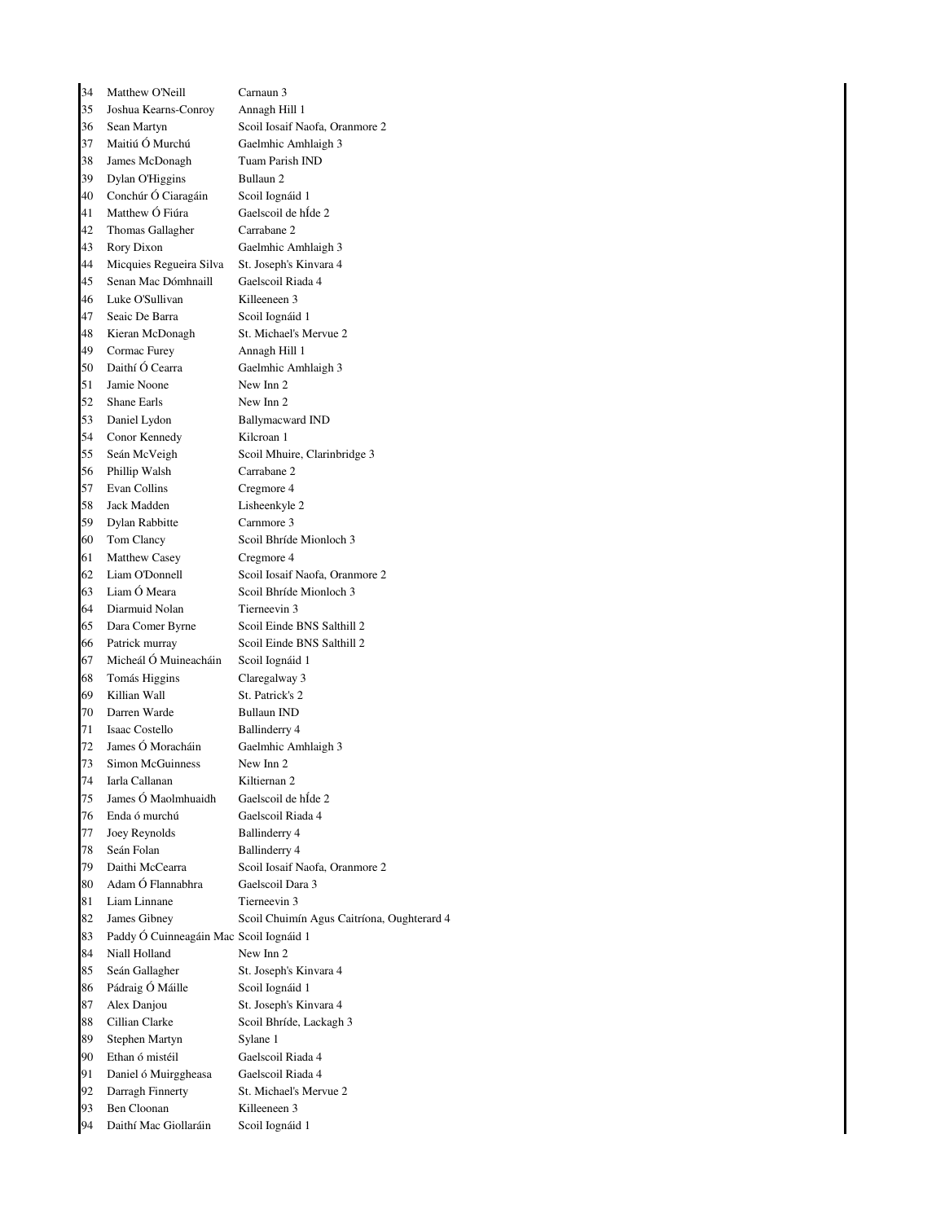| 34 | Matthew O'Neill                         | Carnaun 3                                  |
|----|-----------------------------------------|--------------------------------------------|
| 35 | Joshua Kearns-Conroy                    | Annagh Hill 1                              |
| 36 | Sean Martyn                             | Scoil Iosaif Naofa, Oranmore 2             |
| 37 | Maitiú Ó Murchú                         | Gaelmhic Amhlaigh 3                        |
| 38 | James McDonagh                          | Tuam Parish IND                            |
| 39 | Dylan O'Higgins                         | Bullaun <sub>2</sub>                       |
| 40 | Conchúr Ó Ciaragáin                     | Scoil Iognáid 1                            |
| 41 | Matthew Ó Fiúra                         | Gaelscoil de hÍde 2                        |
| 42 | <b>Thomas Gallagher</b>                 | Carrabane 2                                |
| 43 | Rory Dixon                              | Gaelmhic Amhlaigh 3                        |
| 44 | Micquies Regueira Silva                 | St. Joseph's Kinvara 4                     |
| 45 | Senan Mac Dómhnaill                     | Gaelscoil Riada 4                          |
| 46 | Luke O'Sullivan                         | Killeeneen 3                               |
| 47 | Seaic De Barra                          | Scoil Iognáid 1                            |
| 48 | Kieran McDonagh                         | St. Michael's Mervue 2                     |
| 49 | Cormac Furey                            | Annagh Hill 1                              |
| 50 | Daithí Ó Cearra                         | Gaelmhic Amhlaigh 3                        |
| 51 | Jamie Noone                             | New Inn 2                                  |
| 52 | Shane Earls                             | New Inn 2                                  |
| 53 | Daniel Lydon                            | <b>Ballymacward IND</b>                    |
| 54 | Conor Kennedy                           | Kilcroan 1                                 |
| 55 | Seán McVeigh                            | Scoil Mhuire, Clarinbridge 3               |
| 56 | Phillip Walsh                           | Carrabane 2                                |
| 57 | Evan Collins                            | Cregmore 4                                 |
| 58 | Jack Madden                             | Lisheenkyle 2                              |
| 59 | Dylan Rabbitte                          | Carnmore 3                                 |
| 60 | Tom Clancy                              | Scoil Bhríde Mionloch 3                    |
| 61 | Matthew Casey                           | Cregmore 4                                 |
| 62 | Liam O'Donnell                          | Scoil Iosaif Naofa, Oranmore 2             |
| 63 | Liam Ó Meara                            | Scoil Bhríde Mionloch 3                    |
| 64 | Diarmuid Nolan                          | Tierneevin 3                               |
| 65 | Dara Comer Byrne                        | Scoil Einde BNS Salthill 2                 |
| 66 | Patrick murray                          | Scoil Einde BNS Salthill 2                 |
| 67 | Micheál Ó Muineacháin                   | Scoil Iognáid 1                            |
| 68 | Tomás Higgins                           | Claregalway 3                              |
| 69 | Killian Wall                            | St. Patrick's 2                            |
| 70 | Darren Warde                            | <b>Bullaun IND</b>                         |
| 71 | Isaac Costello                          | Ballinderry 4                              |
| 72 | James Ó Moracháin                       | Gaelmhic Amhlaigh 3                        |
| 73 | Simon McGuinness                        | New Inn 2                                  |
| 74 | Iarla Callanan                          | Kiltiernan 2                               |
| 75 | James Ó Maolmhuaidh                     | Gaelscoil de hÍde 2                        |
| 76 | Enda ó murchú                           | Gaelscoil Riada 4                          |
| 77 | Joey Reynolds                           | Ballinderry 4                              |
| 78 | Seán Folan                              | <b>Ballinderry 4</b>                       |
| 79 | Daithi McCearra                         | Scoil Iosaif Naofa, Oranmore 2             |
| 80 | Adam Ó Flannabhra                       | Gaelscoil Dara 3                           |
| 81 | Liam Linnane                            | Tierneevin 3                               |
| 82 | James Gibney                            | Scoil Chuimín Agus Caitríona, Oughterard 4 |
| 83 | Paddy Ó Cuinneagáin Mac Scoil Iognáid 1 |                                            |
| 84 | Niall Holland                           | New Inn 2                                  |
| 85 | Seán Gallagher                          | St. Joseph's Kinvara 4                     |
| 86 | Pádraig Ó Máille                        | Scoil Iognáid 1                            |
| 87 | Alex Danjou                             | St. Joseph's Kinvara 4                     |
| 88 | Cillian Clarke                          | Scoil Bhríde, Lackagh 3                    |
| 89 | Stephen Martyn                          | Sylane 1                                   |
| 90 | Ethan ó mistéil                         | Gaelscoil Riada 4                          |
| 91 | Daniel ó Muirggheasa                    | Gaelscoil Riada 4                          |
| 92 | Darragh Finnerty                        | St. Michael's Mervue 2                     |
| 93 | Ben Cloonan                             | Killeeneen 3                               |
| 94 | Daithí Mac Giollaráin                   | Scoil Iognáid 1                            |